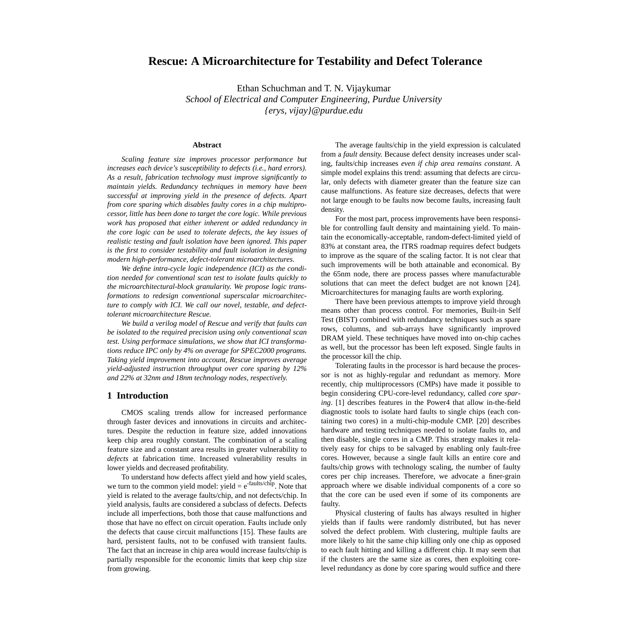# **Rescue: A Microarchitecture for Testability and Defect Tolerance**

Ethan Schuchman and T. N. Vijaykumar *School of Electrical and Computer Engineering, Purdue University {erys, vijay}@purdue.edu*

#### **Abstract**

*Scaling feature size improves processor performance but increases each device's susceptibility to defects (i.e., hard errors). As a result, fabrication technology must improve significantly to maintain yields. Redundancy techniques in memory have been successful at improving yield in the presence of defects. Apart from core sparing which disables faulty cores in a chip multiprocessor, little has been done to target the core logic. While previous work has proposed that either inherent or added redundancy in the core logic can be used to tolerate defects, the key issues of realistic testing and fault isolation have been ignored. This paper is the first to consider testability and fault isolation in designing modern high-performance, defect-tolerant microarchitectures.*

*We define intra-cycle logic independence (ICI) as the condition needed for conventional scan test to isolate faults quickly to the microarchitectural-block granularity. We propose logic transformations to redesign conventional superscalar microarchitecture to comply with ICI. We call our novel, testable, and defecttolerant microarchitecture Rescue.*

*We build a verilog model of Rescue and verify that faults can be isolated to the required precision using only conventional scan test. Using performace simulations, we show that ICI transformations reduce IPC only by 4% on average for SPEC2000 programs. Taking yield improvement into account, Rescue improves average yield-adjusted instruction throughput over core sparing by 12% and 22% at 32nm and 18nm technology nodes, respectively.*

#### <span id="page-0-0"></span>**1 Introduction**

CMOS scaling trends allow for increased performance through faster devices and innovations in circuits and architectures. Despite the reduction in feature size, added innovations keep chip area roughly constant. The combination of a scaling feature size and a constant area results in greater vulnerability to *defects* at fabrication time. Increased vulnerability results in lower yields and decreased profitability.

To understand how defects affect yield and how yield scales, we turn to the common yield model: yield =  $e^{-faults/chip}$ . Note that yield is related to the average faults/chip, and not defects/chip. In yield analysis, faults are considered a subclass of defects. Defects include all imperfections, both those that cause malfunctions and those that have no effect on circuit operation. Faults include only the defects that cause circuit malfunctions [15]. These faults are hard, persistent faults, not to be confused with transient faults. The fact that an increase in chip area would increase faults/chip is partially responsible for the economic limits that keep chip size from growing.

The average faults/chip in the yield expression is calculated from a *fault density*. Because defect density increases under scaling, faults/chip increases *even if chip area remains constant*. A simple model explains this trend: assuming that defects are circular, only defects with diameter greater than the feature size can cause malfunctions. As feature size decreases, defects that were not large enough to be faults now become faults, increasing fault density.

For the most part, process improvements have been responsible for controlling fault density and maintaining yield. To maintain the economically-acceptable, random-defect-limited yield of 83% at constant area, the ITRS roadmap requires defect budgets to improve as the square of the scaling factor. It is not clear that such improvements will be both attainable and economical. By the 65nm node, there are process passes where manufacturable solutions that can meet the defect budget are not known [24]. Microarchitectures for managing faults are worth exploring.

There have been previous attempts to improve yield through means other than process control. For memories, Built-in Self Test (BIST) combined with redundancy techniques such as spare rows, columns, and sub-arrays have significantly improved DRAM yield. These techniques have moved into on-chip caches as well, but the processor has been left exposed. Single faults in the processor kill the chip.

Tolerating faults in the processor is hard because the processor is not as highly-regular and redundant as memory. More recently, chip multiprocessors (CMPs) have made it possible to begin considering CPU-core-level redundancy, called *core sparing*. [1] describes features in the Power4 that allow in-the-field diagnostic tools to isolate hard faults to single chips (each containing two cores) in a multi-chip-module CMP. [20] describes hardware and testing techniques needed to isolate faults to, and then disable, single cores in a CMP. This strategy makes it relatively easy for chips to be salvaged by enabling only fault-free cores. However, because a single fault kills an entire core and faults/chip grows with technology scaling, the number of faulty cores per chip increases. Therefore, we advocate a finer-grain approach where we disable individual components of a core so that the core can be used even if some of its components are faulty.

Physical clustering of faults has always resulted in higher yields than if faults were randomly distributed, but has never solved the defect problem. With clustering, multiple faults are more likely to hit the same chip killing only one chip as opposed to each fault hitting and killing a different chip. It may seem that if the clusters are the same size as cores, then exploiting corelevel redundancy as done by core sparing would suffice and there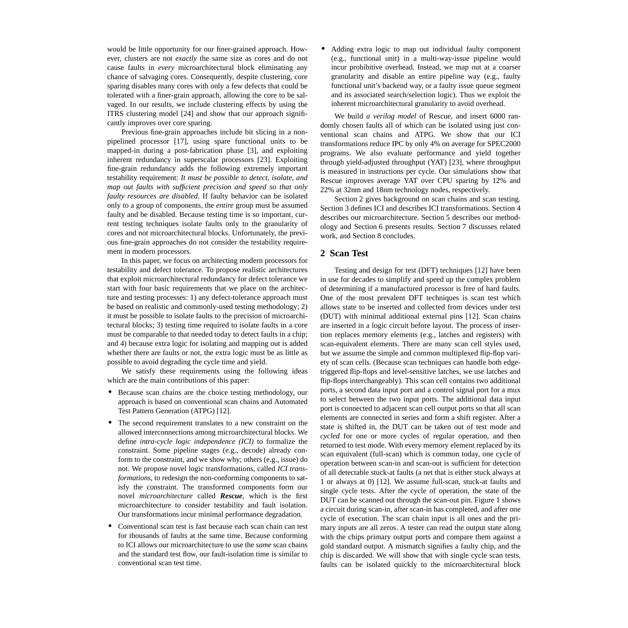would be little opportunity for our finer-grained approach. However, clusters are not *exactly* the same size as cores and do not cause faults in *every* microarchitectural block eliminating any chance of salvaging cores. Consequently, despite clustering, core sparing disables many cores with only a few defects that could be tolerated with a finer-grain approach, allowing the core to be salvaged. In our results, we include clustering effects by using the ITRS clustering model [24] and show that our approach significantly improves over core sparing.

Previous fine-grain approaches include bit slicing in a nonpipelined processor [17], using spare functional units to be mapped-in during a post-fabrication phase [3], and exploiting inherent redundancy in superscalar processors [23]. Exploiting fine-grain redundancy adds the following extremely important testability requirement: *It must be possible to detect, isolate, and map out faults with sufficient precision and speed so that only faulty resources are disabled*. If faulty behavior can be isolated only to a group of components, the *entire* group must be assumed faulty and be disabled. Because testing time is so important, current testing techniques isolate faults only to the granularity of cores and not microarchitectural blocks. Unfortunately, the previous fine-grain approaches do not consider the testability requirement in modern processors.

In this paper, we focus on architecting modern processors for testability and defect tolerance. To propose realistic architectures that exploit microarchitectural redundancy for defect tolerance we start with four basic requirements that we place on the architecture and testing processes: 1) any defect-tolerance approach must be based on realistic and commonly-used testing methodology; 2) it must be possible to isolate faults to the precision of microarchitectural blocks; 3) testing time required to isolate faults in a core must be comparable to that needed today to detect faults in a chip; and 4) because extra logic for isolating and mapping out is added whether there are faults or not, the extra logic must be as little as possible to avoid degrading the cycle time and yield.

We satisfy these requirements using the following ideas which are the main contributions of this paper:

- **•** Because scan chains are the choice testing methodology, our approach is based on conventional scan chains and Automated Test Pattern Generation (ATPG) [12].
- **•** The second requirement translates to a new constraint on the allowed interconnections among microarchitectural blocks. We define *intra-cycle logic independence (ICI)* to formalize the constraint. Some pipeline stages (e.g., decode) already conform to the constraint, and we show why; others (e.g., issue) do not. We propose novel logic transformations, called *ICI transformations*, to redesign the non-conforming components to satisfy the constraint. The transformed components form our novel *microarchitecture* called *Rescue*, which is the first microarchitecture to consider testability and fault isolation. Our transformations incur minimal performance degradation.
- **•** Conventional scan test is fast because each scan chain can test for thousands of faults at the same time. Because conforming to ICI allows our microarchitecture to use the *same* scan chains and the standard test flow, our fault-isolation time is similar to conventional scan test time.

**•** Adding extra logic to map out individual faulty component (e.g., functional unit) in a multi-way-issue pipeline would incur prohibitive overhead. Instead, we map out at a coarser granularity and disable an entire pipeline way (e.g., faulty functional unit's backend way, or a faulty issue queue segment and its associated search/selection logic). Thus we exploit the inherent microarchitectural granularity to avoid overhead.

We build *a verilog model* of Rescue, and insert 6000 randomly chosen faults all of which can be isolated using just conventional scan chains and ATPG. We show that our ICI transformations reduce IPC by only 4% on average for SPEC2000 programs. We also evaluate performance and yield together through yield-adjusted throughput (YAT) [23], where throughput is measured in instructions per cycle. Our simulations show that Rescue improves average YAT over CPU sparing by 12% and 22% at 32nm and 18nm technology nodes, respectively.

[Section 2](#page-1-0) gives background on scan chains and scan testing. [Section 3](#page-2-0) defines ICI and describes ICI transformations. [Section 4](#page-4-0) describes our microarchitecture. [Section 5](#page-7-0) describes our methodology and [Section 6](#page-9-0) presents results. [Section 7](#page-10-0) discusses related work, and [Section 8](#page-10-1) concludes.

## <span id="page-1-0"></span>**2 Scan Test**

Testing and design for test (DFT) techniques [12] have been in use for decades to simplify and speed up the complex problem of determining if a manufactured processor is free of hard faults. One of the most prevalent DFT techniques is scan test which allows state to be inserted and collected from devices under test (DUT) with minimal additional external pins [12]. Scan chains are inserted in a logic circuit before layout. The process of insertion replaces memory elements (e.g., latches and registers) with scan-equivalent elements. There are many scan cell styles used, but we assume the simple and common multiplexed flip-flop variety of scan cells. (Because scan techniques can handle both edgetriggered flip-flops and level-sensitive latches, we use latches and flip-flops interchangeably). This scan cell contains two additional ports, a second data input port and a control signal port for a mux to select between the two input ports. The additional data input port is connected to adjacent scan cell output ports so that all scan elements are connected in series and form a shift register. After a state is shifted in, the DUT can be taken out of test mode and *cycled* for one or more cycles of regular operation, and then returned to test mode. With every memory element replaced by its scan equivalent (full-scan) which is common today, one cycle of operation between scan-in and scan-out is sufficient for detection of all detectable stuck-at faults (a net that is either stuck always at 1 or always at 0) [12]. We assume full-scan, stuck-at faults and single cycle tests. After the cycle of operation, the state of the DUT can be scanned out through the scan-out pin. [Figure 1](#page-2-1) shows a circuit during scan-in, after scan-in has completed, and after one cycle of execution. The scan chain input is all ones and the primary inputs are all zeros. A tester can read the output state along with the chips primary output ports and compare them against a gold standard output. A mismatch signifies a faulty chip, and the chip is discarded. We will show that with single cycle scan tests, faults can be isolated quickly to the microarchitectural block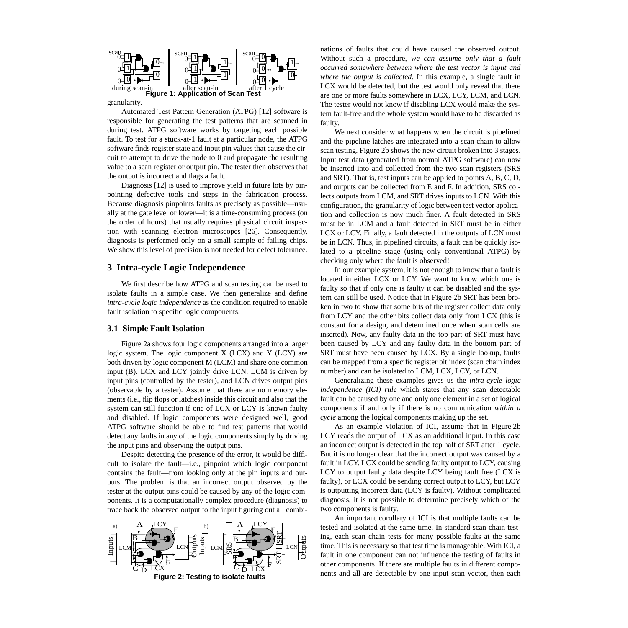

#### <span id="page-2-1"></span>granularity.

Automated Test Pattern Generation (ATPG) [12] software is responsible for generating the test patterns that are scanned in during test. ATPG software works by targeting each possible fault. To test for a stuck-at-1 fault at a particular node, the ATPG software finds register state and input pin values that cause the circuit to attempt to drive the node to 0 and propagate the resulting value to a scan register or output pin. The tester then observes that the output is incorrect and flags a fault.

Diagnosis [12] is used to improve yield in future lots by pinpointing defective tools and steps in the fabrication process. Because diagnosis pinpoints faults as precisely as possible—usually at the gate level or lower—it is a time-consuming process (on the order of hours) that usually requires physical circuit inspection with scanning electron microscopes [26]. Consequently, diagnosis is performed only on a small sample of failing chips. We show this level of precision is not needed for defect tolerance.

#### <span id="page-2-0"></span>**3 Intra-cycle Logic Independence**

We first describe how ATPG and scan testing can be used to isolate faults in a simple case. We then generalize and define *intra-cycle logic independence* as the condition required to enable fault isolation to specific logic components.

#### **3.1 Simple Fault Isolation**

[Figure 2a](#page-2-2) shows four logic components arranged into a larger logic system. The logic component X (LCX) and Y (LCY) are both driven by logic component M (LCM) and share one common input (B). LCX and LCY jointly drive LCN. LCM is driven by input pins (controlled by the tester), and LCN drives output pins (observable by a tester). Assume that there are no memory elements (i.e., flip flops or latches) inside this circuit and also that the system can still function if one of LCX or LCY is known faulty and disabled. If logic components were designed well, good ATPG software should be able to find test patterns that would detect any faults in any of the logic components simply by driving the input pins and observing the output pins.

Despite detecting the presence of the error, it would be difficult to isolate the fault—i.e., pinpoint which logic component contains the fault—from looking only at the pin inputs and outputs. The problem is that an incorrect output observed by the tester at the output pins could be caused by any of the logic components. It is a computationally complex procedure (diagnosis) to trace back the observed output to the input figuring out all combi-

<span id="page-2-2"></span>

nations of faults that could have caused the observed output. Without such a procedure, *we can assume only that a fault occurred somewhere between where the test vector is input and where the output is collected.* In this example, a single fault in LCX would be detected, but the test would only reveal that there are one or more faults somewhere in LCX, LCY, LCM, and LCN. The tester would not know if disabling LCX would make the system fault-free and the whole system would have to be discarded as faulty.

We next consider what happens when the circuit is pipelined and the pipeline latches are integrated into a scan chain to allow scan testing. [Figure 2b](#page-2-2) shows the new circuit broken into 3 stages. Input test data (generated from normal ATPG software) can now be inserted into and collected from the two scan registers (SRS and SRT). That is, test inputs can be applied to points A, B, C, D, and outputs can be collected from E and F. In addition, SRS collects outputs from LCM, and SRT drives inputs to LCN. With this configuration, the granularity of logic between test vector application and collection is now much finer. A fault detected in SRS must be in LCM and a fault detected in SRT must be in either LCX or LCY. Finally, a fault detected in the outputs of LCN must be in LCN. Thus, in pipelined circuits, a fault can be quickly isolated to a pipeline stage (using only conventional ATPG) by checking only where the fault is observed!

In our example system, it is not enough to know that a fault is located in either LCX or LCY. We want to know which one is faulty so that if only one is faulty it can be disabled and the system can still be used. Notice that in [Figure 2b](#page-2-2) SRT has been broken in two to show that some bits of the register collect data only from LCY and the other bits collect data only from LCX (this is constant for a design, and determined once when scan cells are inserted). Now, any faulty data in the top part of SRT must have been caused by LCY and any faulty data in the bottom part of SRT must have been caused by LCX. By a single lookup, faults can be mapped from a specific register bit index (scan chain index number) and can be isolated to LCM, LCX, LCY, or LCN.

Generalizing these examples gives us the *intra-cycle logic independence (ICI) rule* which states that any scan detectable fault can be caused by one and only one element in a set of logical components if and only if there is no communication *within a cycle* among the logical components making up the set.

As an example violation of ICI, assume that in [Figure 2b](#page-2-2) LCY reads the output of LCX as an additional input. In this case an incorrect output is detected in the top half of SRT after 1 cycle. But it is no longer clear that the incorrect output was caused by a fault in LCY. LCX could be sending faulty output to LCY, causing LCY to output faulty data despite LCY being fault free (LCX is faulty), or LCX could be sending correct output to LCY, but LCY is outputting incorrect data (LCY is faulty). Without complicated diagnosis, it is not possible to determine precisely which of the two components is faulty.

An important corollary of ICI is that multiple faults can be tested and isolated at the same time. In standard scan chain testing, each scan chain tests for many possible faults at the same time. This is necessary so that test time is manageable. With ICI, a fault in one component can not influence the testing of faults in other components. If there are multiple faults in different components and all are detectable by one input scan vector, then each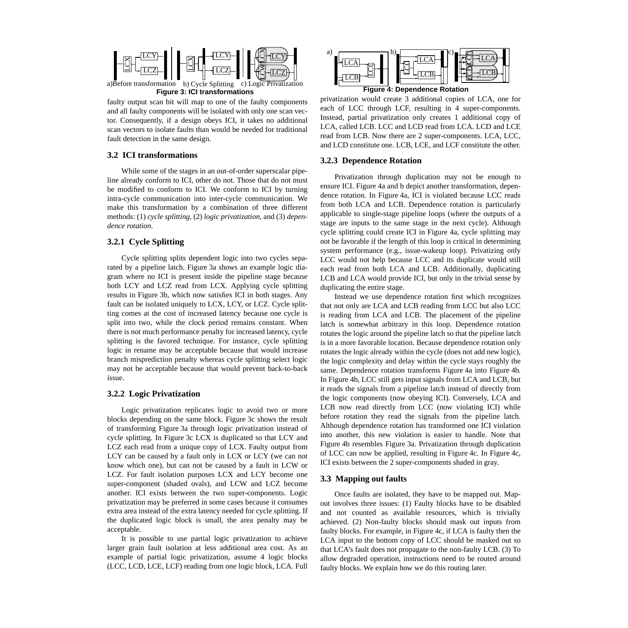

<span id="page-3-0"></span>faulty output scan bit will map to one of the faulty components and all faulty components will be isolated with only one scan vector. Consequently, if a design obeys ICI, it takes no additional scan vectors to isolate faults than would be needed for traditional fault detection in the same design.

#### **3.2 ICI transformations**

While some of the stages in an out-of-order superscalar pipeline already conform to ICI, other do not. Those that do not must be modified to conform to ICI. We conform to ICI by turning intra-cycle communication into inter-cycle communication. We make this transformation by a combination of three different methods: (1) *cycle splitting,* (2) *logic privatization*, and (3) *dependence rotation*.

## **3.2.1 Cycle Splitting**

Cycle splitting splits dependent logic into two cycles separated by a pipeline latch. [Figure 3](#page-3-0)a shows an example logic diagram where no ICI is present inside the pipeline stage because both LCY and LCZ read from LCX. Applying cycle splitting results in [Figure 3](#page-3-0)b, which now satisfies ICI in both stages. Any fault can be isolated uniquely to LCX, LCY, or LCZ. Cycle splitting comes at the cost of increased latency because one cycle is split into two, while the clock period remains constant. When there is not much performance penalty for increased latency, cycle splitting is the favored technique. For instance, cycle splitting logic in rename may be acceptable because that would increase branch misprediction penalty whereas cycle splitting select logic may not be acceptable because that would prevent back-to-back issue.

#### **3.2.2 Logic Privatization**

Logic privatization replicates logic to avoid two or more blocks depending on the same block. [Figure 3](#page-3-0)c shows the result of transforming [Figure 3a](#page-3-0) through logic privatization instead of cycle splitting. In [Figure 3](#page-3-0)c LCX is duplicated so that LCY and LCZ each read from a unique copy of LCX. Faulty output from LCY can be caused by a fault only in LCX or LCY (we can not know which one), but can not be caused by a fault in LCW or LCZ. For fault isolation purposes LCX and LCY become one super-component (shaded ovals), and LCW and LCZ become another. ICI exists between the two super-components. Logic privatization may be preferred in some cases because it consumes extra area instead of the extra latency needed for cycle splitting. If the duplicated logic block is small, the area penalty may be acceptable.

It is possible to use partial logic privatization to achieve larger grain fault isolation at less additional area cost. As an example of partial logic privatization, assume 4 logic blocks (LCC, LCD, LCE, LCF) reading from one logic block, LCA. Full



<span id="page-3-1"></span>**Figure 4: Dependence Rotation**

privatization would create 3 additional copies of LCA, one for each of LCC through LCF, resulting in 4 super-components. Instead, partial privatization only creates 1 additional copy of LCA, called LCB. LCC and LCD read from LCA. LCD and LCE read from LCB. Now there are 2 super-components. LCA, LCC, and LCD constitute one. LCB, LCE, and LCF constitute the other.

#### **3.2.3 Dependence Rotation**

Privatization through duplication may not be enough to ensure ICI. [Figure 4](#page-3-1)a and b depict another transformation, dependence rotation. In [Figure 4](#page-3-1)a, ICI is violated because LCC reads from both LCA and LCB. Dependence rotation is particularly applicable to single-stage pipeline loops (where the outputs of a stage are inputs to the same stage in the next cycle). Although cycle splitting could create ICI in Figure 4a, cycle splitting may not be favorable if the length of this loop is critical in determining system performance (e.g., issue-wakeup loop). Privatizing only LCC would not help because LCC and its duplicate would still each read from both LCA and LCB. Additionally, duplicating LCB and LCA would provide ICI, but only in the trivial sense by duplicating the entire stage.

Instead we use dependence rotation first which recognizes that not only are LCA and LCB reading from LCC but also LCC is reading from LCA and LCB. The placement of the pipeline latch is somewhat arbitrary in this loop. Dependence rotation rotates the logic around the pipeline latch so that the pipeline latch is in a more favorable location. Because dependence rotation only rotates the logic already within the cycle (does not add new logic), the logic complexity and delay within the cycle stays roughly the same. Dependence rotation transforms [Figure 4](#page-3-1)a into [Figure 4b](#page-3-1). In [Figure 4b](#page-3-1), LCC still gets input signals from LCA and LCB, but it reads the signals from a pipeline latch instead of directly from the logic components (now obeying ICI). Conversely, LCA and LCB now read directly from LCC (now violating ICI) while before rotation they read the signals from the pipeline latch. Although dependence rotation has transformed one ICI violation into another, this new violation is easier to handle. Note that [Figure 4](#page-3-1)b resembles [Figure 3](#page-3-0)a. Privatization through duplication of LCC can now be applied, resulting in [Figure 4](#page-3-1)c. In [Figure 4c](#page-3-1), ICI exists between the 2 super-components shaded in gray.

#### <span id="page-3-2"></span>**3.3 Mapping out faults**

Once faults are isolated, they have to be mapped out. Mapout involves three issues: (1) Faulty blocks have to be disabled and not counted as available resources, which is trivially achieved. (2) Non-faulty blocks should mask out inputs from faulty blocks. For example, in [Figure 4](#page-3-1)c, if LCA is faulty then the LCA input to the bottom copy of LCC should be masked out so that LCA's fault does not propagate to the non-faulty LCB. (3) To allow degraded operation, instructions need to be routed around faulty blocks. We explain how we do this routing later.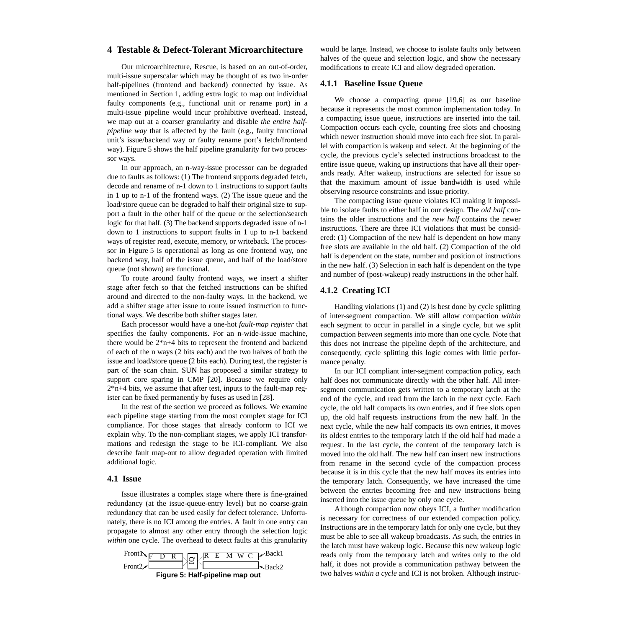## <span id="page-4-0"></span>**4 Testable & Defect-Tolerant Microarchitecture**

Our microarchitecture, Rescue*,* is based on an out-of-order, multi-issue superscalar which may be thought of as two in-order half-pipelines (frontend and backend) connected by issue. As mentioned in [Section 1](#page-0-0), adding extra logic to map out individual faulty components (e.g., functional unit or rename port) in a multi-issue pipeline would incur prohibitive overhead. Instead, we map out at a coarser granularity and disable *the entire halfpipeline way* that is affected by the fault (e.g., faulty functional unit's issue/backend way or faulty rename port's fetch/frontend way). [Figure 5](#page-4-1) shows the half pipeline granularity for two processor ways.

In our approach, an n-way-issue processor can be degraded due to faults as follows: (1) The frontend supports degraded fetch, decode and rename of n-1 down to 1 instructions to support faults in 1 up to n-1 of the frontend ways. (2) The issue queue and the load/store queue can be degraded to half their original size to support a fault in the other half of the queue or the selection/search logic for that half. (3) The backend supports degraded issue of n-1 down to 1 instructions to support faults in 1 up to n-1 backend ways of register read, execute, memory, or writeback. The processor in [Figure 5](#page-4-1) is operational as long as one frontend way, one backend way, half of the issue queue, and half of the load/store queue (not shown) are functional.

To route around faulty frontend ways, we insert a shifter stage after fetch so that the fetched instructions can be shifted around and directed to the non-faulty ways. In the backend, we add a shifter stage after issue to route issued instruction to functional ways. We describe both shifter stages later.

Each processor would have a one-hot *fault-map register* that specifies the faulty components. For an n-wide-issue machine, there would be 2\*n+4 bits to represent the frontend and backend of each of the n ways (2 bits each) and the two halves of both the issue and load/store queue (2 bits each). During test, the register is part of the scan chain. SUN has proposed a similar strategy to support core sparing in CMP [20]. Because we require only 2\*n+4 bits, we assume that after test, inputs to the fault-map register can be fixed permanently by fuses as used in [28].

In the rest of the section we proceed as follows. We examine each pipeline stage starting from the most complex stage for ICI compliance. For those stages that already conform to ICI we explain why. To the non-compliant stages, we apply ICI transformations and redesign the stage to be ICI-compliant. We also describe fault map-out to allow degraded operation with limited additional logic.

#### <span id="page-4-2"></span>**4.1 Issue**

Issue illustrates a complex stage where there is fine-grained redundancy (at the issue-queue-entry level) but no coarse-grain redundancy that can be used easily for defect tolerance. Unfortunately, there is no ICI among the entries. A fault in one entry can propagate to almost any other entry through the selection logic *within* one cycle. The overhead to detect faults at this granularity

<span id="page-4-1"></span>

would be large. Instead, we choose to isolate faults only between halves of the queue and selection logic, and show the necessary modifications to create ICI and allow degraded operation.

#### **4.1.1 Baseline Issue Queue**

We choose a compacting queue [19,6] as our baseline because it represents the most common implementation today. In a compacting issue queue, instructions are inserted into the tail. Compaction occurs each cycle, counting free slots and choosing which newer instruction should move into each free slot. In parallel with compaction is wakeup and select. At the beginning of the cycle, the previous cycle's selected instructions broadcast to the entire issue queue, waking up instructions that have all their operands ready. After wakeup, instructions are selected for issue so that the maximum amount of issue bandwidth is used while observing resource constraints and issue priority.

The compacting issue queue violates ICI making it impossible to isolate faults to either half in our design. The *old half* contains the older instructions and the *new half* contains the newer instructions. There are three ICI violations that must be considered: (1) Compaction of the new half is dependent on how many free slots are available in the old half. (2) Compaction of the old half is dependent on the state, number and position of instructions in the new half. (3) Selection in each half is dependent on the type and number of (post-wakeup) ready instructions in the other half.

### **4.1.2 Creating ICI**

Handling violations (1) and (2) is best done by cycle splitting of inter-segment compaction. We still allow compaction *within* each segment to occur in parallel in a single cycle, but we split compaction *between* segments into more than one cycle. Note that this does not increase the pipeline depth of the architecture, and consequently, cycle splitting this logic comes with little performance penalty.

In our ICI compliant inter-segment compaction policy, each half does not communicate directly with the other half. All intersegment communication gets written to a temporary latch at the end of the cycle, and read from the latch in the next cycle. Each cycle, the old half compacts its own entries, and if free slots open up, the old half requests instructions from the new half. In the next cycle, while the new half compacts its own entries, it moves its oldest entries to the temporary latch if the old half had made a request. In the last cycle, the content of the temporary latch is moved into the old half. The new half can insert new instructions from rename in the second cycle of the compaction process because it is in this cycle that the new half moves its entries into the temporary latch. Consequently, we have increased the time between the entries becoming free and new instructions being inserted into the issue queue by only one cycle.

Although compaction now obeys ICI, a further modification is necessary for correctness of our extended compaction policy. Instructions are in the temporary latch for only one cycle, but they must be able to see all wakeup broadcasts. As such, the entries in the latch must have wakeup logic. Because this new wakeup logic reads only from the temporary latch and writes only to the old half, it does not provide a communication pathway between the two halves *within a cycle* and ICI is not broken. Although instruc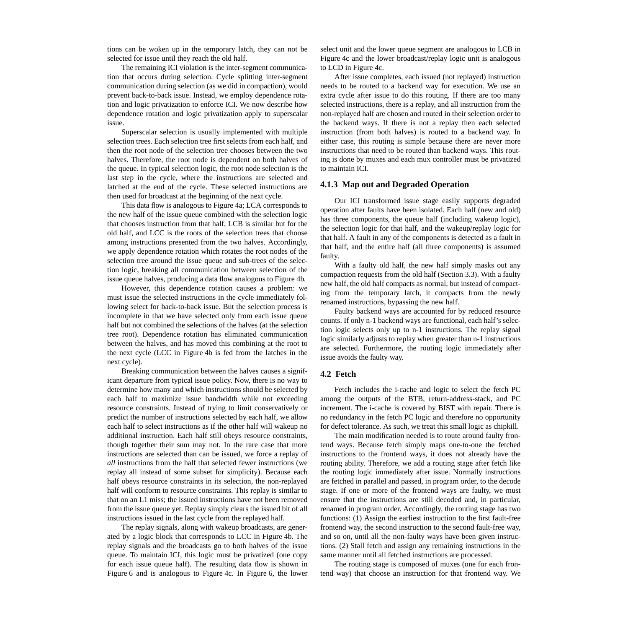tions can be woken up in the temporary latch, they can not be selected for issue until they reach the old half.

The remaining ICI violation is the inter-segment communication that occurs during selection. Cycle splitting inter-segment communication during selection (as we did in compaction), would prevent back-to-back issue. Instead, we employ dependence rotation and logic privatization to enforce ICI. We now describe how dependence rotation and logic privatization apply to superscalar issue.

Superscalar selection is usually implemented with multiple selection trees. Each selection tree first selects from each half, and then the root node of the selection tree chooses between the two halves. Therefore, the root node is dependent on both halves of the queue. In typical selection logic, the root node selection is the last step in the cycle, where the instructions are selected and latched at the end of the cycle. These selected instructions are then used for broadcast at the beginning of the next cycle.

This data flow is analogous to [Figure 4](#page-3-1)a; LCA corresponds to the new half of the issue queue combined with the selection logic that chooses instruction from that half, LCB is similar but for the old half, and LCC is the roots of the selection trees that choose among instructions presented from the two halves. Accordingly, we apply dependence rotation which rotates the root nodes of the selection tree around the issue queue and sub-trees of the selection logic, breaking all communication between selection of the issue queue halves, producing a data flow analogous to [Figure 4b](#page-3-1).

However, this dependence rotation causes a problem: we must issue the selected instructions in the cycle immediately following select for back-to-back issue. But the selection process is incomplete in that we have selected only from each issue queue half but not combined the selections of the halves (at the selection tree root). Dependence rotation has eliminated communication between the halves, and has moved this combining at the root to the next cycle (LCC in [Figure 4](#page-3-1)b is fed from the latches in the next cycle).

Breaking communication between the halves causes a significant departure from typical issue policy. Now, there is no way to determine how many and which instructions should be selected by each half to maximize issue bandwidth while not exceeding resource constraints. Instead of trying to limit conservatively or predict the number of instructions selected by each half, we allow each half to select instructions as if the other half will wakeup no additional instruction. Each half still obeys resource constraints, though together their sum may not. In the rare case that more instructions are selected than can be issued, we force a replay of *all* instructions from the half that selected fewer instructions (we replay all instead of some subset for simplicity). Because each half obeys resource constraints in its selection, the non-replayed half will conform to resource constraints. This replay is similar to that on an L1 miss; the issued instructions have not been removed from the issue queue yet. Replay simply clears the issued bit of all instructions issued in the last cycle from the replayed half.

The replay signals, along with wakeup broadcasts, are generated by a logic block that corresponds to LCC in [Figure 4](#page-3-1)b. The replay signals and the broadcasts go to both halves of the issue queue. To maintain ICI, this logic must be privatized (one copy for each issue queue half). The resulting data flow is shown in [Figure 6](#page-7-1) and is analogous to [Figure 4](#page-3-1)c. In [Figure 6,](#page-7-1) the lower

select unit and the lower queue segment are analogous to LCB in [Figure 4](#page-3-1)c and the lower broadcast/replay logic unit is analogous to LCD in [Figure 4c](#page-3-1).

After issue completes, each issued (not replayed) instruction needs to be routed to a backend way for execution. We use an extra cycle after issue to do this routing. If there are too many selected instructions, there is a replay, and all instruction from the non-replayed half are chosen and routed in their selection order to the backend ways. If there is not a replay then each selected instruction (from both halves) is routed to a backend way. In either case, this routing is simple because there are never more instructions that need to be routed than backend ways. This routing is done by muxes and each mux controller must be privatized to maintain ICI.

#### <span id="page-5-0"></span>**4.1.3 Map out and Degraded Operation**

Our ICI transformed issue stage easily supports degraded operation after faults have been isolated. Each half (new and old) has three components, the queue half (including wakeup logic), the selection logic for that half, and the wakeup/replay logic for that half. A fault in any of the components is detected as a fault in that half, and the entire half (all three components) is assumed faulty.

With a faulty old half, the new half simply masks out any compaction requests from the old half [\(Section 3.3](#page-3-2)). With a faulty new half, the old half compacts as normal, but instead of compacting from the temporary latch, it compacts from the newly renamed instructions, bypassing the new half.

Faulty backend ways are accounted for by reduced resource counts. If only n-1 backend ways are functional, each half's selection logic selects only up to n-1 instructions. The replay signal logic similarly adjusts to replay when greater than n-1 instructions are selected. Furthermore, the routing logic immediately after issue avoids the faulty way.

### <span id="page-5-1"></span>**4.2 Fetch**

Fetch includes the i-cache and logic to select the fetch PC among the outputs of the BTB, return-address-stack, and PC increment. The i-cache is covered by BIST with repair. There is no redundancy in the fetch PC logic and therefore no opportunity for defect tolerance. As such, we treat this small logic as chipkill.

The main modification needed is to route around faulty frontend ways. Because fetch simply maps one-to-one the fetched instructions to the frontend ways, it does not already have the routing ability. Therefore, we add a routing stage after fetch like the routing logic immediately after issue. Normally instructions are fetched in parallel and passed, in program order, to the decode stage. If one or more of the frontend ways are faulty, we must ensure that the instructions are still decoded and, in particular, renamed in program order. Accordingly, the routing stage has two functions: (1) Assign the earliest instruction to the first fault-free frontend way, the second instruction to the second fault-free way, and so on, until all the non-faulty ways have been given instructions. (2) Stall fetch and assign any remaining instructions in the same manner until all fetched instructions are processed.

The routing stage is composed of muxes (one for each frontend way) that choose an instruction for that frontend way. We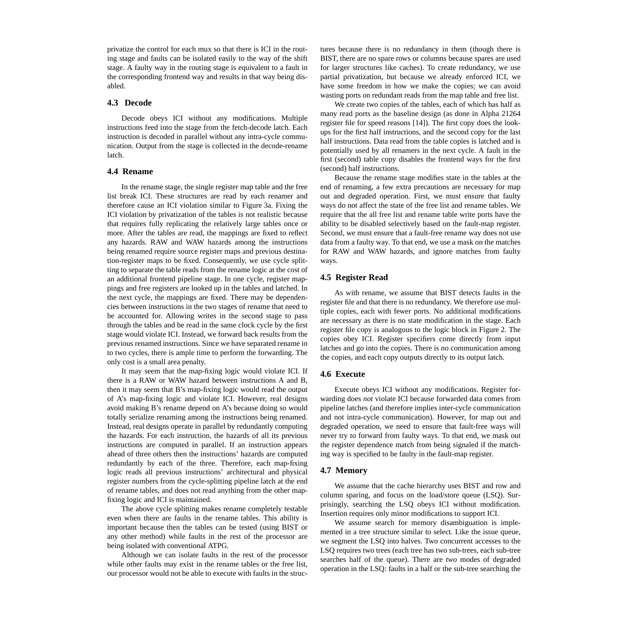privatize the control for each mux so that there is ICI in the routing stage and faults can be isolated easily to the way of the shift stage. A faulty way in the routing stage is equivalent to a fault in the corresponding frontend way and results in that way being disabled.

### **4.3 Decode**

Decode obeys ICI without any modifications. Multiple instructions feed into the stage from the fetch-decode latch. Each instruction is decoded in parallel without any intra-cycle communication. Output from the stage is collected in the decode-rename latch.

#### <span id="page-6-0"></span>**4.4 Rename**

In the rename stage, the single register map table and the free list break ICI. These structures are read by each renamer and therefore cause an ICI violation similar to [Figure 3a](#page-3-0). Fixing the ICI violation by privatization of the tables is not realistic because that requires fully replicating the relatively large tables once or more. After the tables are read, the mappings are fixed to reflect any hazards. RAW and WAW hazards among the instructions being renamed require source register maps and previous destination-register maps to be fixed. Consequently, we use cycle splitting to separate the table reads from the rename logic at the cost of an additional frontend pipeline stage. In one cycle, register mappings and free registers are looked up in the tables and latched. In the next cycle, the mappings are fixed. There may be dependencies between instructions in the two stages of rename that need to be accounted for. Allowing writes in the second stage to pass through the tables and be read in the same clock cycle by the first stage would violate ICI. Instead, we forward back results from the previous renamed instructions. Since we have separated rename in to two cycles, there is ample time to perform the forwarding. The only cost is a small area penalty.

It may seem that the map-fixing logic would violate ICI. If there is a RAW or WAW hazard between instructions A and B, then it may seem that B's map-fixing logic would read the output of A's map-fixing logic and violate ICI. However, real designs avoid making B's rename depend on A's because doing so would totally serialize renaming among the instructions being renamed. Instead, real designs operate in parallel by redundantly computing the hazards. For each instruction, the hazards of all its previous instructions are computed in parallel. If an instruction appears ahead of three others then the instructions' hazards are computed redundantly by each of the three. Therefore, each map-fixing logic reads all previous instructions' architectural and physical register numbers from the cycle-splitting pipeline latch at the end of rename tables, and does not read anything from the other mapfixing logic and ICI is maintained.

The above cycle splitting makes rename completely testable even when there are faults in the rename tables. This ability is important because then the tables can be tested (using BIST or any other method) while faults in the rest of the processor are being isolated with conventional ATPG.

Although we can isolate faults in the rest of the processor while other faults may exist in the rename tables or the free list, our processor would not be able to execute with faults in the structures because there is no redundancy in them (though there is BIST, there are no spare rows or columns because spares are used for larger structures like caches). To create redundancy, we use partial privatization, but because we already enforced ICI, we have some freedom in how we make the copies; we can avoid wasting ports on redundant reads from the map table and free list.

We create two copies of the tables, each of which has half as many read ports as the baseline design (as done in Alpha 21264 register file for speed reasons [14]). The first copy does the lookups for the first half instructions, and the second copy for the last half instructions. Data read from the table copies is latched and is potentially used by all renamers in the next cycle. A fault in the first (second) table copy disables the frontend ways for the first (second) half instructions.

Because the rename stage modifies state in the tables at the end of renaming, a few extra precautions are necessary for map out and degraded operation. First, we must ensure that faulty ways do not affect the state of the free list and rename tables. We require that the all free list and rename table write ports have the ability to be disabled selectively based on the fault-map register. Second, we must ensure that a fault-free rename way does not use data from a faulty way. To that end, we use a mask on the matches for RAW and WAW hazards, and ignore matches from faulty ways.

#### **4.5 Register Read**

As with rename, we assume that BIST detects faults in the register file and that there is no redundancy. We therefore use multiple copies, each with fewer ports. No additional modifications are necessary as there is no state modification in the stage. Each register file copy is analogous to the logic block in [Figure 2](#page-2-2). The copies obey ICI. Register specifiers come directly from input latches and go into the copies. There is no communication among the copies, and each copy outputs directly to its output latch.

### **4.6 Execute**

Execute obeys ICI without any modifications. Register forwarding does *not* violate ICI because forwarded data comes from pipeline latches (and therefore implies inter-cycle communication and not intra-cycle communication). However, for map out and degraded operation, we need to ensure that fault-free ways will never try to forward from faulty ways. To that end, we mask out the register dependence match from being signaled if the matching way is specified to be faulty in the fault-map register.

#### **4.7 Memory**

We assume that the cache hierarchy uses BIST and row and column sparing, and focus on the load/store queue (LSQ). Surprisingly, searching the LSQ obeys ICI without modification. Insertion requires only minor modifications to support ICI.

We assume search for memory disambiguation is implemented in a tree structure similar to select. Like the issue queue, we segment the LSQ into halves. Two concurrent accesses to the LSQ requires two trees (each tree has two sub-trees, each sub-tree searches half of the queue). There are *two* modes of degraded operation in the LSQ: faults in a half or the sub-tree searching the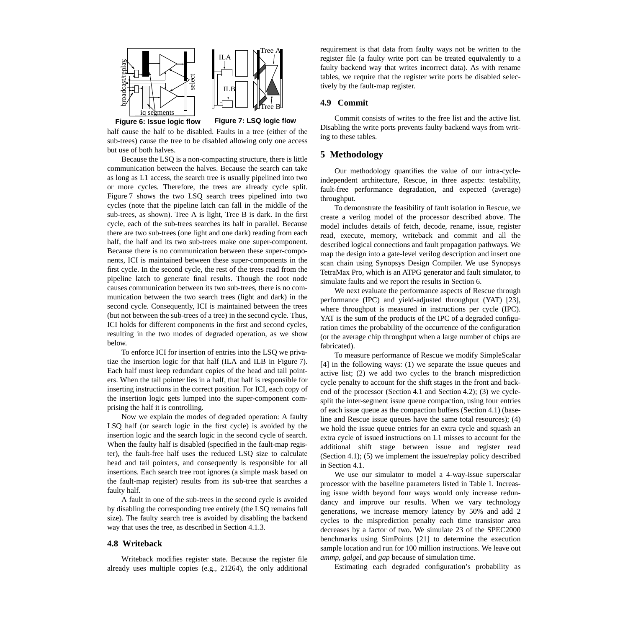

#### <span id="page-7-2"></span>**Figure 7: LSQ logic flow**

<span id="page-7-1"></span>half cause the half to be disabled. Faults in a tree (either of the sub-trees) cause the tree to be disabled allowing only one access but use of both halves.

Because the LSQ is a non-compacting structure, there is little communication between the halves. Because the search can take as long as L1 access, the search tree is usually pipelined into two or more cycles. Therefore, the trees are already cycle split. [Figure 7](#page-7-2) shows the two LSQ search trees pipelined into two cycles (note that the pipeline latch can fall in the middle of the sub-trees, as shown). Tree A is light, Tree B is dark. In the first cycle, each of the sub-trees searches its half in parallel. Because there are two sub-trees (one light and one dark) reading from each half, the half and its two sub-trees make one super-component. Because there is no communication between these super-components, ICI is maintained between these super-components in the first cycle. In the second cycle, the rest of the trees read from the pipeline latch to generate final results. Though the root node causes communication between its two sub-trees, there is no communication between the two search trees (light and dark) in the second cycle. Consequently, ICI is maintained between the trees (but not between the sub-trees of a tree) in the second cycle. Thus, ICI holds for different components in the first and second cycles, resulting in the two modes of degraded operation, as we show below.

To enforce ICI for insertion of entries into the LSQ we privatize the insertion logic for that half (ILA and ILB in [Figure 7](#page-7-2)). Each half must keep redundant copies of the head and tail pointers. When the tail pointer lies in a half, that half is responsible for inserting instructions in the correct position. For ICI, each copy of the insertion logic gets lumped into the super-component comprising the half it is controlling.

Now we explain the modes of degraded operation: A faulty LSQ half (or search logic in the first cycle) is avoided by the insertion logic and the search logic in the second cycle of search. When the faulty half is disabled (specified in the fault-map register), the fault-free half uses the reduced LSQ size to calculate head and tail pointers, and consequently is responsible for all insertions. Each search tree root ignores (a simple mask based on the fault-map register) results from its sub-tree that searches a faulty half.

A fault in one of the sub-trees in the second cycle is avoided by disabling the corresponding tree entirely (the LSQ remains full size). The faulty search tree is avoided by disabling the backend way that uses the tree, as described in [Section 4.1.3](#page-5-0).

### **4.8 Writeback**

Writeback modifies register state. Because the register file already uses multiple copies (e.g., 21264), the only additional

requirement is that data from faulty ways not be written to the register file (a faulty write port can be treated equivalently to a faulty backend way that writes incorrect data). As with rename tables, we require that the register write ports be disabled selectively by the fault-map register.

#### **4.9 Commit**

Commit consists of writes to the free list and the active list. Disabling the write ports prevents faulty backend ways from writing to these tables.

## <span id="page-7-0"></span>**5 Methodology**

Our methodology quantifies the value of our intra-cycleindependent architecture, Rescue, in three aspects: testability, fault-free performance degradation, and expected (average) throughput.

To demonstrate the feasibility of fault isolation in Rescue, we create a verilog model of the processor described above. The model includes details of fetch, decode, rename, issue, register read, execute, memory, writeback and commit and all the described logical connections and fault propagation pathways. We map the design into a gate-level verilog description and insert one scan chain using Synopsys Design Compiler. We use Synopsys TetraMax Pro, which is an ATPG generator and fault simulator, to simulate faults and we report the results in [Section 6](#page-9-0).

We next evaluate the performance aspects of Rescue through performance (IPC) and yield-adjusted throughput (YAT) [23], where throughput is measured in instructions per cycle (IPC). YAT is the sum of the products of the IPC of a degraded configuration times the probability of the occurrence of the configuration (or the average chip throughput when a large number of chips are fabricated).

To measure performance of Rescue we modify SimpleScalar [4] in the following ways: (1) we separate the issue queues and active list; (2) we add two cycles to the branch misprediction cycle penalty to account for the shift stages in the front and backend of the processor ([Section 4.1](#page-4-2) and [Section 4.2\)](#page-5-1); (3) we cyclesplit the inter-segment issue queue compaction, using four entries of each issue queue as the compaction buffers [\(Section 4.1\)](#page-4-2) (baseline and Rescue issue queues have the same total resources); (4) we hold the issue queue entries for an extra cycle and squash an extra cycle of issued instructions on L1 misses to account for the additional shift stage between issue and register read [\(Section 4.1](#page-4-2)); (5) we implement the issue/replay policy described in [Section 4.1](#page-4-2).

We use our simulator to model a 4-way-issue superscalar processor with the baseline parameters listed in [Table 1](#page-8-0). Increasing issue width beyond four ways would only increase redundancy and improve our results. When we vary technology generations, we increase memory latency by 50% and add 2 cycles to the misprediction penalty each time transistor area decreases by a factor of two. We simulate 23 of the SPEC2000 benchmarks using SimPoints [21] to determine the execution sample location and run for 100 million instructions. We leave out *ammp*, *galgel*, and *gap* because of simulation time.

Estimating each degraded configuration's probability as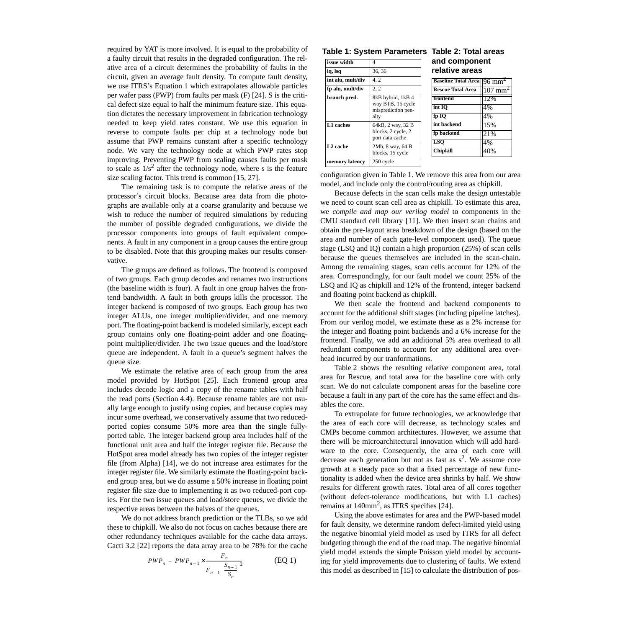required by YAT is more involved. It is equal to the probability of a faulty circuit that results in the degraded configuration. The relative area of a circuit determines the probability of faults in the circuit, given an average fault density. To compute fault density, we use ITRS's [Equation 1](#page-8-1) which extrapolates allowable particles per wafer pass (PWP) from faults per mask (F) [24]. S is the critical defect size equal to half the minimum feature size. This equation dictates the necessary improvement in fabrication technology needed to keep yield rates constant. We use this equation in reverse to compute faults per chip at a technology node but assume that PWP remains constant after a specific technology node. We vary the technology node at which PWP rates stop improving. Preventing PWP from scaling causes faults per mask to scale as  $1/s^2$  after the technology node, where s is the feature size scaling factor. This trend is common [15, 27].

The remaining task is to compute the relative areas of the processor's circuit blocks. Because area data from die photographs are available only at a coarse granularity and because we wish to reduce the number of required simulations by reducing the number of possible degraded configurations, we divide the processor components into groups of fault equivalent components. A fault in any component in a group causes the entire group to be disabled. Note that this grouping makes our results conservative.

The groups are defined as follows. The frontend is composed of two groups. Each group decodes and renames two instructions (the baseline width is four). A fault in one group halves the frontend bandwidth. A fault in both groups kills the processor. The integer backend is composed of two groups. Each group has two integer ALUs, one integer multiplier/divider, and one memory port. The floating-point backend is modeled similarly, except each group contains only one floating-point adder and one floatingpoint multiplier/divider. The two issue queues and the load/store queue are independent. A fault in a queue's segment halves the queue size.

We estimate the relative area of each group from the area model provided by HotSpot [25]. Each frontend group area includes decode logic and a copy of the rename tables with half the read ports ([Section 4.4](#page-6-0)). Because rename tables are not usually large enough to justify using copies, and because copies may incur some overhead, we conservatively assume that two reducedported copies consume 50% more area than the single fullyported table. The integer backend group area includes half of the functional unit area and half the integer register file. Because the HotSpot area model already has two copies of the integer register file (from Alpha) [14], we do not increase area estimates for the integer register file. We similarly estimate the floating-point backend group area, but we do assume a 50% increase in floating point register file size due to implementing it as two reduced-port copies. For the two issue queues and load/store queues, we divide the respective areas between the halves of the queues.

<span id="page-8-1"></span>We do not address branch prediction or the TLBs, so we add these to chipkill. We also do not focus on caches because there are other redundancy techniques available for the cache data arrays. Cacti 3.2 [22] reports the data array area to be 78% for the cache

$$
PWP_n = PWP_{n-1} \times \frac{F_n}{F_{n-1} \langle \frac{S_{n-1}}{S_n} \rangle^2}
$$
 (EQ 1)

<span id="page-8-0"></span>

| Table 1: System Parameters Table 2: Total areas |  |  |  |
|-------------------------------------------------|--|--|--|
|-------------------------------------------------|--|--|--|

| issue width          |                                                                      |
|----------------------|----------------------------------------------------------------------|
| iq, Isq              | 36, 36                                                               |
| int alu, mult/div    | 4, 2                                                                 |
| fp alu, mult/div     | 2, 2                                                                 |
| branch pred.         | 8kB hybrid, 1kB 4<br>way BTB, 15 cycle<br>misprediction pen-<br>alty |
| L1 caches            | 64kB, 2 way, 32 B<br>blocks, 2 cycle, 2<br>port data cache           |
| L <sub>2</sub> cache | 2Mb, 8 way, 64 B<br>blocks, 15 cycle                                 |
| memory latency       | 250 cycle                                                            |

## <span id="page-8-2"></span>**and component relative areas**

| <b>Baseline Total Area</b> 96 mm <sup>2</sup> |                       |
|-----------------------------------------------|-----------------------|
| <b>Rescue Total Area</b>                      | $107$ mm <sup>2</sup> |
| frontend                                      | 12%                   |
| $\overline{\text{int}}$ IO                    | 4%                    |
| fp IQ                                         | $\overline{4\%}$      |
| int backend                                   | 15%                   |
| fp backend                                    | 21%                   |
| $\overline{\text{LSO}}$                       | 4%                    |
| <b>Chipkill</b>                               | 40%                   |
|                                               |                       |

configuration given in [Table 1](#page-8-0). We remove this area from our area model, and include only the control/routing area as chipkill.

Because defects in the scan cells make the design untestable we need to count scan cell area as chipkill. To estimate this area, we *compile and map our verilog model* to components in the CMU standard cell library [11]. We then insert scan chains and obtain the pre-layout area breakdown of the design (based on the area and number of each gate-level component used). The queue stage (LSQ and IQ) contain a high proportion (25%) of scan cells because the queues themselves are included in the scan-chain. Among the remaining stages, scan cells account for 12% of the area. Correspondingly, for our fault model we count 25% of the LSQ and IQ as chipkill and 12% of the frontend, integer backend and floating point backend as chipkill.

We then scale the frontend and backend components to account for the additional shift stages (including pipeline latches). From our verilog model, we estimate these as a 2% increase for the integer and floating point backends and a 6% increase for the frontend. Finally, we add an additional 5% area overhead to all redundant components to account for any additional area overhead incurred by our tranformations.

[Table 2](#page-8-2) shows the resulting relative component area, total area for Rescue, and total area for the baseline core with only scan. We do not calculate component areas for the baseline core because a fault in any part of the core has the same effect and disables the core.

To extrapolate for future technologies, we acknowledge that the area of each core will decrease, as technology scales and CMPs become common architectures. However, we assume that there will be microarchitectural innovation which will add hardware to the core. Consequently, the area of each core will decrease each generation but not as fast as  $s^2$ . We assume core growth at a steady pace so that a fixed percentage of new functionality is added when the device area shrinks by half. We show results for different growth rates. Total area of all cores together (without defect-tolerance modifications, but with L1 caches) remains at  $140 \text{mm}^2$ , as ITRS specifies [24].

Using the above estimates for area and the PWP-based model for fault density, we determine random defect-limited yield using the negative binomial yield model as used by ITRS for all defect budgeting through the end of the road map. The negative binomial yield model extends the simple Poisson yield model by accounting for yield improvements due to clustering of faults. We extend this model as described in [15] to calculate the distribution of pos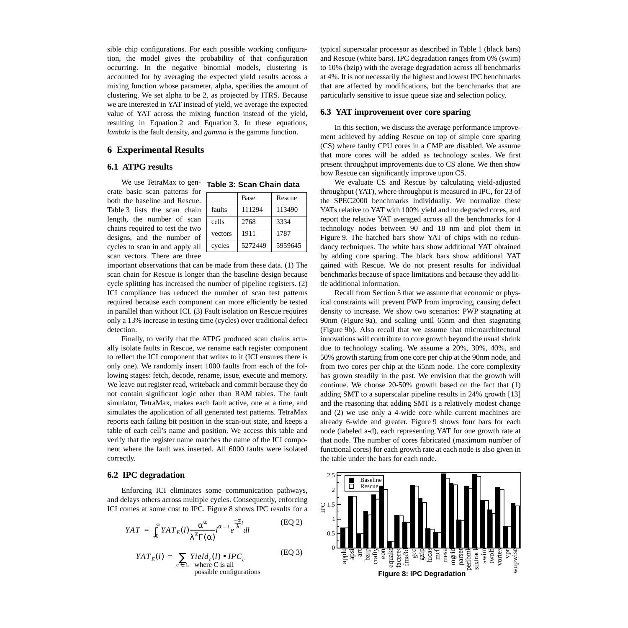sible chip configurations. For each possible working configuration, the model gives the probability of that configuration occurring. In the negative binomial models, clustering is accounted for by averaging the expected yield results across a mixing function whose parameter, alpha, specifies the amount of clustering. We set alpha to be 2, as projected by ITRS. Because we are interested in YAT instead of yield, we average the expected value of YAT across the mixing function instead of the yield, resulting in [Equation 2](#page-9-1) and [Equation 3](#page-9-2). In these equations, *lambda* is the fault density, and *gamma* is the gamma function.

## <span id="page-9-0"></span>**6 Experimental Results**

## **6.1 ATPG results**

We use TetraMax to generate basic scan patterns for **Table 3: Scan Chain data**

both the baseline and Rescue. [Table 3](#page-9-3) lists the scan chain length, the number of scan chains required to test the two designs, and the number of cycles to scan in and apply all scan vectors. There are three

<span id="page-9-3"></span>

|         | Base    | Rescue  |
|---------|---------|---------|
| faults  | 111294  | 113490  |
| cells   | 2768    | 3334    |
| vectors | 1911    | 1787    |
| cycles  | 5272449 | 5959645 |

important observations that can be made from these data. (1) The scan chain for Rescue is longer than the baseline design because cycle splitting has increased the number of pipeline registers. (2) ICI compliance has reduced the number of scan test patterns required because each component can more efficiently be tested in parallel than without ICI. (3) Fault isolation on Rescue requires only a 13% increase in testing time (cycles) over traditional defect detection.

Finally, to verify that the ATPG produced scan chains actually isolate faults in Rescue, we rename each register component to reflect the ICI component that writes to it (ICI ensures there is only one). We randomly insert 1000 faults from each of the following stages: fetch, decode, rename, issue, execute and memory. We leave out register read, writeback and commit because they do not contain significant logic other than RAM tables. The fault simulator, TetraMax, makes each fault active, one at a time, and simulates the application of all generated test patterns. TetraMax reports each failing bit position in the scan-out state, and keeps a table of each cell's name and position. We access this table and verify that the register name matches the name of the ICI component where the fault was inserted. All 6000 faults were isolated correctly.

## **6.2 IPC degradation**

<span id="page-9-1"></span>Enforcing ICI eliminates some communication pathways, and delays others across multiple cycles. Consequently, enforcing ICI comes at some cost to IPC. [Figure 8](#page-9-4) shows IPC results for a

<span id="page-9-2"></span>
$$
YAT = \int_0^\infty YAT_E(l) \frac{\alpha^\alpha}{\lambda^\alpha \Gamma(\alpha)} l^{\alpha - 1} e^{\frac{-\alpha}{\lambda} l} dl
$$
 (EQ2)

$$
YAT_E(l) = \sum_{c \in C} Yield_c(l) \bullet IPC_c
$$
 (EQ 3)  
where C is all possible configurations

typical superscalar processor as described in [Table 1](#page-8-0) (black bars) and Rescue (white bars). IPC degradation ranges from 0% (swim) to 10% (bzip) with the average degradation across all benchmarks at 4%. It is not necessarily the highest and lowest IPC benchmarks that are affected by modifications, but the benchmarks that are particularly sensitive to issue queue size and selection policy.

#### **6.3 YAT improvement over core sparing**

In this section, we discuss the average performance improvement achieved by adding Rescue on top of simple core sparing (CS) where faulty CPU cores in a CMP are disabled. We assume that more cores will be added as technology scales. We first present throughput improvements due to CS alone. We then show how Rescue can significantly improve upon CS.

We evaluate CS and Rescue by calculating yield-adjusted throughput (YAT), where throughput is measured in IPC, for 23 of the SPEC2000 benchmarks individually. We normalize these YATs relative to YAT with 100% yield and no degraded cores, and report the relative YAT averaged across all the benchmarks for 4 technology nodes between 90 and 18 nm and plot them in [Figure 9](#page-10-2). The hatched bars show YAT of chips with no redundancy techniques. The white bars show additional YAT obtained by adding core sparing. The black bars show additional YAT gained with Rescue. We do not present results for individual benchmarks because of space limitations and because they add little additional information.

Recall from [Section 5](#page-7-0) that we assume that economic or physical constraints will prevent PWP from improving, causing defect density to increase. We show two scenarios: PWP stagnating at 90nm [\(Figure 9a](#page-10-2)), and scaling until 65nm and then stagnating [\(Figure 9](#page-10-2)b). Also recall that we assume that microarchitectural innovations will contribute to core growth beyond the usual shrink due to technology scaling. We assume a 20%, 30%, 40%, and 50% growth starting from one core per chip at the 90nm node, and from two cores per chip at the 65nm node. The core complexity has grown steadily in the past. We envision that the growth will continue. We choose 20-50% growth based on the fact that (1) adding SMT to a superscalar pipeline results in 24% growth [13] and the reasoning that adding SMT is a relatively modest change and (2) we use only a 4-wide core while current machines are already 6-wide and greater. [Figure 9](#page-10-2) shows four bars for each node (labeled a-d), each representing YAT for one growth rate at that node. The number of cores fabricated (maximum number of functional cores) for each growth rate at each node is also given in the table under the bars for each node.

<span id="page-9-4"></span>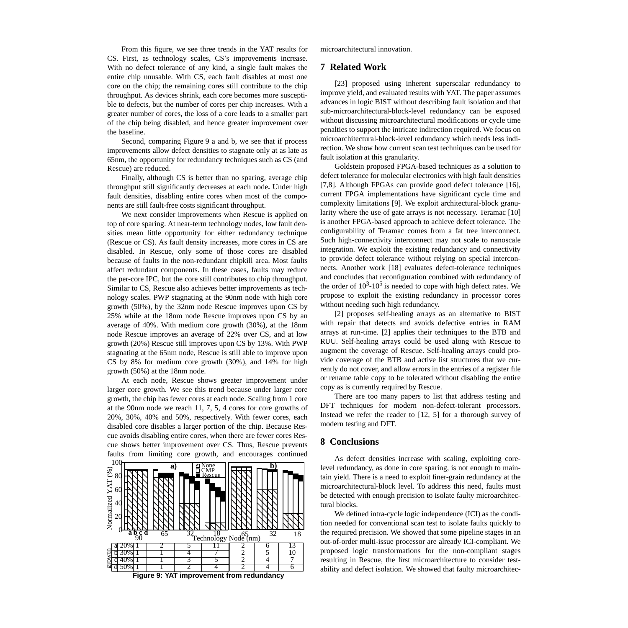From this figure, we see three trends in the YAT results for CS. First, as technology scales, CS's improvements increase. With no defect tolerance of any kind, a single fault makes the entire chip unusable. With CS, each fault disables at most one core on the chip; the remaining cores still contribute to the chip throughput. As devices shrink, each core becomes more susceptible to defects, but the number of cores per chip increases. With a greater number of cores, the loss of a core leads to a smaller part of the chip being disabled, and hence greater improvement over the baseline.

Second, comparing [Figure 9](#page-10-2) a and b, we see that if process improvements allow defect densities to stagnate only at as late as 65nm, the opportunity for redundancy techniques such as CS (and Rescue) are reduced.

Finally, although CS is better than no sparing, average chip throughput still significantly decreases at each node**.** Under high fault densities, disabling entire cores when most of the components are still fault-free costs significant throughput.

We next consider improvements when Rescue is applied on top of core sparing. At near-term technology nodes, low fault densities mean little opportunity for either redundancy technique (Rescue or CS). As fault density increases, more cores in CS are disabled. In Rescue, only some of those cores are disabled because of faults in the non-redundant chipkill area. Most faults affect redundant components. In these cases, faults may reduce the per-core IPC, but the core still contributes to chip throughput. Similar to CS, Rescue also achieves better improvements as technology scales. PWP stagnating at the 90nm node with high core growth (50%), by the 32nm node Rescue improves upon CS by 25% while at the 18nm node Rescue improves upon CS by an average of 40%. With medium core growth (30%), at the 18nm node Rescue improves an average of 22% over CS, and at low growth (20%) Rescue still improves upon CS by 13%. With PWP stagnating at the 65nm node, Rescue is still able to improve upon CS by 8% for medium core growth (30%), and 14% for high growth (50%) at the 18nm node.

At each node, Rescue shows greater improvement under larger core growth. We see this trend because under larger core growth, the chip has fewer cores at each node. Scaling from 1 core at the 90nm node we reach 11, 7, 5, 4 cores for core growths of 20%, 30%, 40% and 50%, respectively. With fewer cores, each disabled core disables a larger portion of the chip. Because Rescue avoids disabling entire cores, when there are fewer cores Rescue shows better improvement over CS. Thus, Rescue prevents faults from limiting core growth, and encourages continued

<span id="page-10-2"></span>

microarchitectural innovation.

## <span id="page-10-0"></span>**7 Related Work**

[23] proposed using inherent superscalar redundancy to improve yield, and evaluated results with YAT. The paper assumes advances in logic BIST without describing fault isolation and that sub-microarchitectural-block-level redundancy can be exposed without discussing microarchitectural modifications or cycle time penalties to support the intricate indirection required. We focus on microarchitectural-block-level redundancy which needs less indirection. We show how current scan test techniques can be used for fault isolation at this granularity.

Goldstein proposed FPGA-based techniques as a solution to defect tolerance for molecular electronics with high fault densities [7,8]. Although FPGAs can provide good defect tolerance [16], current FPGA implementations have significant cycle time and complexity limitations [9]. We exploit architectural-block granularity where the use of gate arrays is not necessary. Teramac [10] is another FPGA-based approach to achieve defect tolerance. The configurability of Teramac comes from a fat tree interconnect. Such high-connectivity interconnect may not scale to nanoscale integration. We exploit the existing redundancy and connectivity to provide defect tolerance without relying on special interconnects. Another work [18] evaluates defect-tolerance techniques and concludes that reconfiguration combined with redundancy of the order of  $10^3$ - $10^5$  is needed to cope with high defect rates. We propose to exploit the existing redundancy in processor cores without needing such high redundancy.

[2] proposes self-healing arrays as an alternative to BIST with repair that detects and avoids defective entries in RAM arrays at run-time. [2] applies their techniques to the BTB and RUU. Self-healing arrays could be used along with Rescue to augment the coverage of Rescue. Self-healing arrays could provide coverage of the BTB and active list structures that we currently do not cover, and allow errors in the entries of a register file or rename table copy to be tolerated without disabling the entire copy as is currently required by Rescue.

There are too many papers to list that address testing and DFT techniques for modern non-defect-tolerant processors. Instead we refer the reader to [12, 5] for a thorough survey of modern testing and DFT.

### <span id="page-10-1"></span>**8 Conclusions**

As defect densities increase with scaling, exploiting corelevel redundancy, as done in core sparing, is not enough to maintain yield. There is a need to exploit finer-grain redundancy at the microarchitectural-block level. To address this need, faults must be detected with enough precision to isolate faulty microarchitectural blocks.

We defined intra-cycle logic independence (ICI) as the condition needed for conventional scan test to isolate faults quickly to the required precision. We showed that some pipeline stages in an out-of-order multi-issue processor are already ICI-compliant. We proposed logic transformations for the non-compliant stages resulting in Rescue, the first microarchitecture to consider testability and defect isolation. We showed that faulty microarchitec